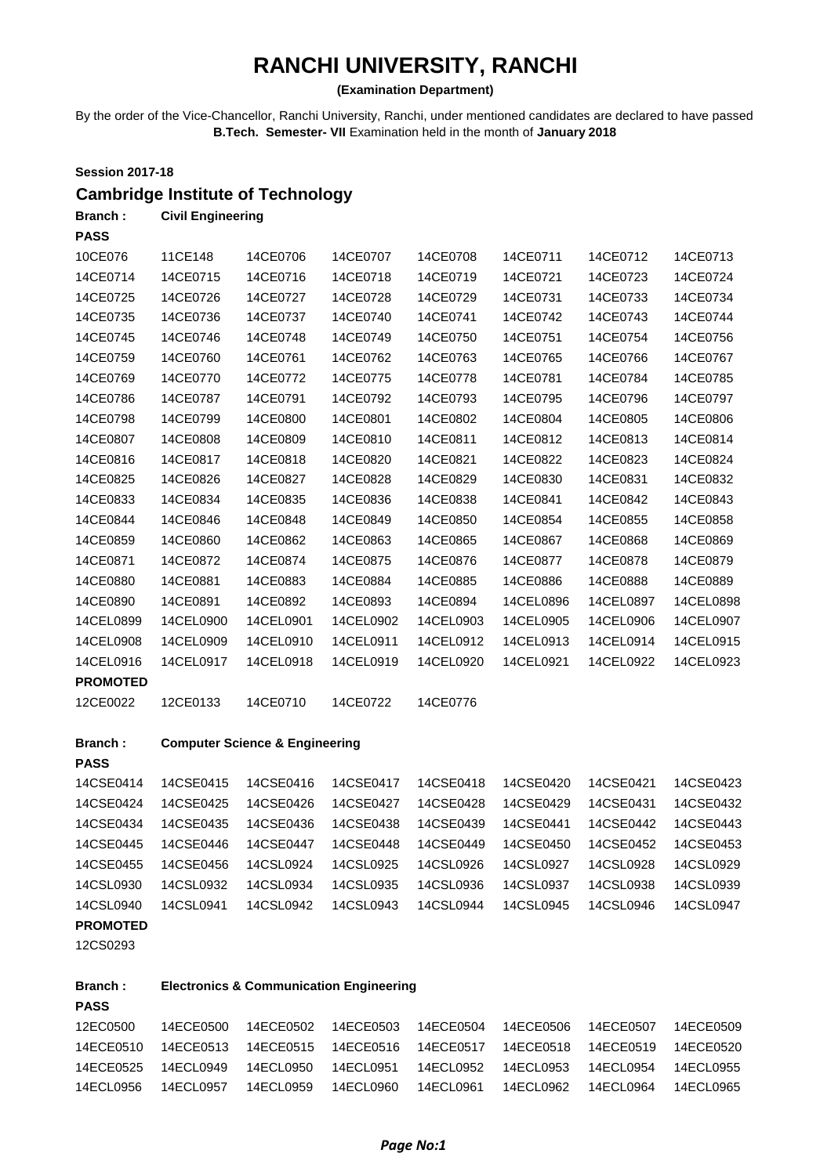# **RANCHI UNIVERSITY, RANCHI**

## **(Examination Department)**

By the order of the Vice-Chancellor, Ranchi University, Ranchi, under mentioned candidates are declared to have passed **B.Tech. Semester- VII** Examination held in the month of **January 2018** 

| <b>Session 2017-18</b> |                          |                                          |           |           |           |           |           |
|------------------------|--------------------------|------------------------------------------|-----------|-----------|-----------|-----------|-----------|
|                        |                          | <b>Cambridge Institute of Technology</b> |           |           |           |           |           |
| Branch:                | <b>Civil Engineering</b> |                                          |           |           |           |           |           |
| <b>PASS</b>            |                          |                                          |           |           |           |           |           |
| 10CE076                | 11CE148                  | 14CE0706                                 | 14CE0707  | 14CE0708  | 14CE0711  | 14CE0712  | 14CE0713  |
| 14CE0714               | 14CE0715                 | 14CE0716                                 | 14CE0718  | 14CE0719  | 14CE0721  | 14CE0723  | 14CE0724  |
| 14CE0725               | 14CE0726                 | 14CE0727                                 | 14CE0728  | 14CE0729  | 14CE0731  | 14CE0733  | 14CE0734  |
| 14CE0735               | 14CE0736                 | 14CE0737                                 | 14CE0740  | 14CE0741  | 14CE0742  | 14CE0743  | 14CE0744  |
| 14CE0745               | 14CE0746                 | 14CE0748                                 | 14CE0749  | 14CE0750  | 14CE0751  | 14CE0754  | 14CE0756  |
| 14CE0759               | 14CE0760                 | 14CE0761                                 | 14CE0762  | 14CE0763  | 14CE0765  | 14CE0766  | 14CE0767  |
| 14CE0769               | 14CE0770                 | 14CE0772                                 | 14CE0775  | 14CE0778  | 14CE0781  | 14CE0784  | 14CE0785  |
| 14CE0786               | 14CE0787                 | 14CE0791                                 | 14CE0792  | 14CE0793  | 14CE0795  | 14CE0796  | 14CE0797  |
| 14CE0798               | 14CE0799                 | 14CE0800                                 | 14CE0801  | 14CE0802  | 14CE0804  | 14CE0805  | 14CE0806  |
| 14CE0807               | 14CE0808                 | 14CE0809                                 | 14CE0810  | 14CE0811  | 14CE0812  | 14CE0813  | 14CE0814  |
| 14CE0816               | 14CE0817                 | 14CE0818                                 | 14CE0820  | 14CE0821  | 14CE0822  | 14CE0823  | 14CE0824  |
| 14CE0825               | 14CE0826                 | 14CE0827                                 | 14CE0828  | 14CE0829  | 14CE0830  | 14CE0831  | 14CE0832  |
| 14CE0833               | 14CE0834                 | 14CE0835                                 | 14CE0836  | 14CE0838  | 14CE0841  | 14CE0842  | 14CE0843  |
| 14CE0844               | 14CE0846                 | 14CE0848                                 | 14CE0849  | 14CE0850  | 14CE0854  | 14CE0855  | 14CE0858  |
| 14CE0859               | 14CE0860                 | 14CE0862                                 | 14CE0863  | 14CE0865  | 14CE0867  | 14CE0868  | 14CE0869  |
| 14CE0871               | 14CE0872                 | 14CE0874                                 | 14CE0875  | 14CE0876  | 14CE0877  | 14CE0878  | 14CE0879  |
| 14CE0880               | 14CE0881                 | 14CE0883                                 | 14CE0884  | 14CE0885  | 14CE0886  | 14CE0888  | 14CE0889  |
| 14CE0890               | 14CE0891                 | 14CE0892                                 | 14CE0893  | 14CE0894  | 14CEL0896 | 14CEL0897 | 14CEL0898 |
| 14CEL0899              | 14CEL0900                | 14CEL0901                                | 14CEL0902 | 14CEL0903 | 14CEL0905 | 14CEL0906 | 14CEL0907 |
| 14CEL0908              | 14CEL0909                | 14CEL0910                                | 14CEL0911 | 14CEL0912 | 14CEL0913 | 14CEL0914 | 14CEL0915 |
| 14CEL0916              | 14CEL0917                | 14CEL0918                                | 14CEL0919 | 14CEL0920 | 14CEL0921 | 14CEL0922 | 14CEL0923 |
| <b>PROMOTED</b>        |                          |                                          |           |           |           |           |           |
| 12CE0022               | 12CE0133                 | 14CE0710                                 | 14CE0722  | 14CE0776  |           |           |           |

**Branch : Computer Science & Engineering**

#### **PASS**

| 14CSE0414 | 14CSE0415 | 14CSE0416 | 14CSE0417 | 14CSE0418 | 14CSE0420 | 14CSE0421 | 14CSE0423 |
|-----------|-----------|-----------|-----------|-----------|-----------|-----------|-----------|
| 14CSE0424 | 14CSE0425 | 14CSE0426 | 14CSE0427 | 14CSE0428 | 14CSE0429 | 14CSE0431 | 14CSE0432 |
| 14CSE0434 | 14CSE0435 | 14CSE0436 | 14CSE0438 | 14CSE0439 | 14CSE0441 | 14CSE0442 | 14CSE0443 |
| 14CSE0445 | 14CSE0446 | 14CSE0447 | 14CSE0448 | 14CSE0449 | 14CSE0450 | 14CSE0452 | 14CSE0453 |
| 14CSE0455 | 14CSE0456 | 14CSL0924 | 14CSL0925 | 14CSL0926 | 14CSL0927 | 14CSL0928 | 14CSL0929 |
| 14CSL0930 | 14CSL0932 | 14CSL0934 | 14CSL0935 | 14CSL0936 | 14CSL0937 | 14CSL0938 | 14CSL0939 |
| 14CSL0940 | 14CSL0941 | 14CSL0942 | 14CSL0943 | 14CSL0944 | 14CSL0945 | 14CSL0946 | 14CSL0947 |
|           |           |           |           |           |           |           |           |

### **PROMOTED**

12CS0293

| <b>Branch:</b> |           |           | <b>Electronics &amp; Communication Engineering</b> |           |           |           |           |
|----------------|-----------|-----------|----------------------------------------------------|-----------|-----------|-----------|-----------|
| <b>PASS</b>    |           |           |                                                    |           |           |           |           |
| 12EC0500       | 14ECE0500 | 14ECE0502 | 14ECE0503                                          | 14ECE0504 | 14ECE0506 | 14ECE0507 | 14ECE0509 |
| 14ECE0510      | 14ECE0513 | 14ECE0515 | 14ECE0516                                          | 14ECE0517 | 14ECE0518 | 14ECE0519 | 14ECE0520 |
| 14ECE0525      | 14FCL0949 | 14ECL0950 | 14ECL0951                                          | 14ECL0952 | 14ECL0953 | 14FCL0954 | 14ECL0955 |
| 14ECL0956      | 14ECL0957 | 14ECL0959 | 14ECL0960                                          | 14ECL0961 | 14ECL0962 | 14FCL0964 | 14ECL0965 |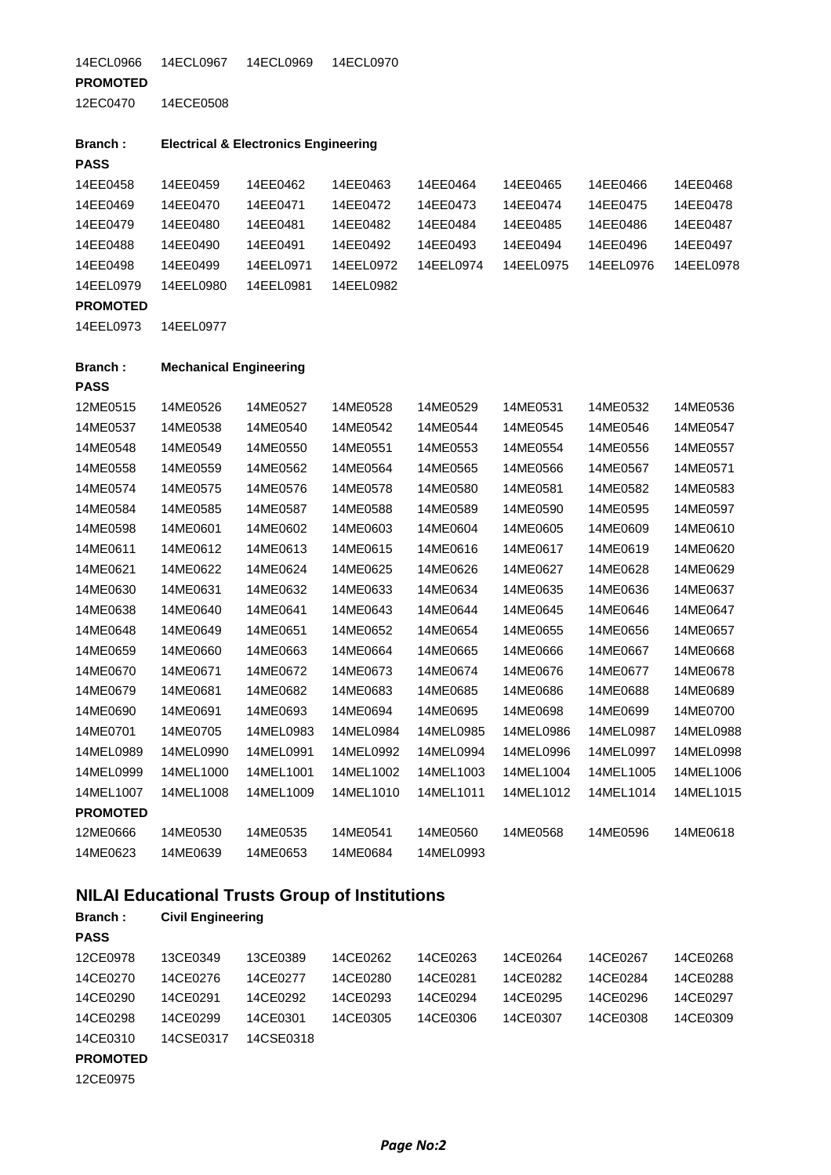14ECL0966 14ECL0967 14ECL0969 14ECL0970

#### **PROMOTED**

12EC0470 14ECE0508

| <b>Branch:</b>  |           | <b>Electrical &amp; Electronics Engineering</b> |           |           |           |           |           |
|-----------------|-----------|-------------------------------------------------|-----------|-----------|-----------|-----------|-----------|
| <b>PASS</b>     |           |                                                 |           |           |           |           |           |
| 14EE0458        | 14EE0459  | 14EE0462                                        | 14EE0463  | 14EE0464  | 14EE0465  | 14EE0466  | 14EE0468  |
| 14EE0469        | 14EE0470  | 14EE0471                                        | 14EE0472  | 14EE0473  | 14EE0474  | 14EE0475  | 14EE0478  |
| 14EE0479        | 14EE0480  | 14EE0481                                        | 14EE0482  | 14EE0484  | 14EE0485  | 14EE0486  | 14EE0487  |
| 14EE0488        | 14EE0490  | 14EE0491                                        | 14EE0492  | 14EE0493  | 14EE0494  | 14EE0496  | 14EE0497  |
| 14EE0498        | 14EE0499  | 14EEL0971                                       | 14EEL0972 | 14EEL0974 | 14EEL0975 | 14EEL0976 | 14EEL0978 |
| 14EEL0979       | 14EEL0980 | 14EEL0981                                       | 14EEL0982 |           |           |           |           |
| <b>DDAMATER</b> |           |                                                 |           |           |           |           |           |

**PROMOTED**

14EEL0973 14EEL0977

| <b>Branch:</b>  | <b>Mechanical Engineering</b> |           |           |           |           |           |           |
|-----------------|-------------------------------|-----------|-----------|-----------|-----------|-----------|-----------|
| <b>PASS</b>     |                               |           |           |           |           |           |           |
| 12ME0515        | 14ME0526                      | 14ME0527  | 14ME0528  | 14ME0529  | 14ME0531  | 14ME0532  | 14ME0536  |
| 14ME0537        | 14ME0538                      | 14ME0540  | 14ME0542  | 14ME0544  | 14ME0545  | 14ME0546  | 14ME0547  |
| 14ME0548        | 14ME0549                      | 14ME0550  | 14ME0551  | 14ME0553  | 14ME0554  | 14ME0556  | 14ME0557  |
| 14ME0558        | 14ME0559                      | 14ME0562  | 14ME0564  | 14ME0565  | 14ME0566  | 14ME0567  | 14ME0571  |
| 14ME0574        | 14ME0575                      | 14ME0576  | 14ME0578  | 14ME0580  | 14ME0581  | 14ME0582  | 14ME0583  |
| 14ME0584        | 14ME0585                      | 14ME0587  | 14ME0588  | 14ME0589  | 14ME0590  | 14ME0595  | 14ME0597  |
| 14ME0598        | 14ME0601                      | 14ME0602  | 14ME0603  | 14ME0604  | 14ME0605  | 14ME0609  | 14ME0610  |
| 14ME0611        | 14ME0612                      | 14ME0613  | 14ME0615  | 14ME0616  | 14ME0617  | 14ME0619  | 14ME0620  |
| 14ME0621        | 14ME0622                      | 14ME0624  | 14ME0625  | 14ME0626  | 14ME0627  | 14ME0628  | 14ME0629  |
| 14ME0630        | 14ME0631                      | 14ME0632  | 14ME0633  | 14ME0634  | 14ME0635  | 14ME0636  | 14ME0637  |
| 14ME0638        | 14ME0640                      | 14ME0641  | 14ME0643  | 14ME0644  | 14ME0645  | 14ME0646  | 14ME0647  |
| 14ME0648        | 14ME0649                      | 14ME0651  | 14ME0652  | 14ME0654  | 14ME0655  | 14ME0656  | 14ME0657  |
| 14ME0659        | 14ME0660                      | 14ME0663  | 14ME0664  | 14ME0665  | 14ME0666  | 14ME0667  | 14ME0668  |
| 14ME0670        | 14ME0671                      | 14ME0672  | 14ME0673  | 14ME0674  | 14ME0676  | 14ME0677  | 14ME0678  |
| 14ME0679        | 14ME0681                      | 14ME0682  | 14ME0683  | 14ME0685  | 14ME0686  | 14ME0688  | 14ME0689  |
| 14ME0690        | 14ME0691                      | 14ME0693  | 14ME0694  | 14ME0695  | 14ME0698  | 14ME0699  | 14ME0700  |
| 14ME0701        | 14ME0705                      | 14MEL0983 | 14MEL0984 | 14MEL0985 | 14MEL0986 | 14MEL0987 | 14MEL0988 |
| 14MEL0989       | 14MEL0990                     | 14MEL0991 | 14MEL0992 | 14MEL0994 | 14MEL0996 | 14MEL0997 | 14MEL0998 |
| 14MEL0999       | 14MEL1000                     | 14MEL1001 | 14MEL1002 | 14MEL1003 | 14MEL1004 | 14MEL1005 | 14MEL1006 |
| 14MEL1007       | 14MEL1008                     | 14MEL1009 | 14MEL1010 | 14MEL1011 | 14MEL1012 | 14MEL1014 | 14MEL1015 |
| <b>PROMOTED</b> |                               |           |           |           |           |           |           |
| 12ME0666        | 14ME0530                      | 14ME0535  | 14ME0541  | 14ME0560  | 14ME0568  | 14ME0596  | 14ME0618  |
| 14ME0623        | 14ME0639                      | 14ME0653  | 14ME0684  | 14MEL0993 |           |           |           |
|                 |                               |           |           |           |           |           |           |

# **NILAI Educational Trusts Group of Institutions**

| <b>Branch:</b>  | <b>Civil Engineering</b> |           |          |          |          |          |          |
|-----------------|--------------------------|-----------|----------|----------|----------|----------|----------|
| <b>PASS</b>     |                          |           |          |          |          |          |          |
| 12CE0978        | 13CE0349                 | 13CE0389  | 14CE0262 | 14CE0263 | 14CE0264 | 14CE0267 | 14CE0268 |
| 14CE0270        | 14CE0276                 | 14CE0277  | 14CE0280 | 14CE0281 | 14CE0282 | 14CE0284 | 14CE0288 |
| 14CE0290        | 14CE0291                 | 14CE0292  | 14CE0293 | 14CE0294 | 14CE0295 | 14CE0296 | 14CE0297 |
| 14CE0298        | 14CE0299                 | 14CE0301  | 14CE0305 | 14CE0306 | 14CE0307 | 14CE0308 | 14CE0309 |
| 14CE0310        | 14CSE0317                | 14CSE0318 |          |          |          |          |          |
| <b>PROMOTED</b> |                          |           |          |          |          |          |          |
| 12CE0975        |                          |           |          |          |          |          |          |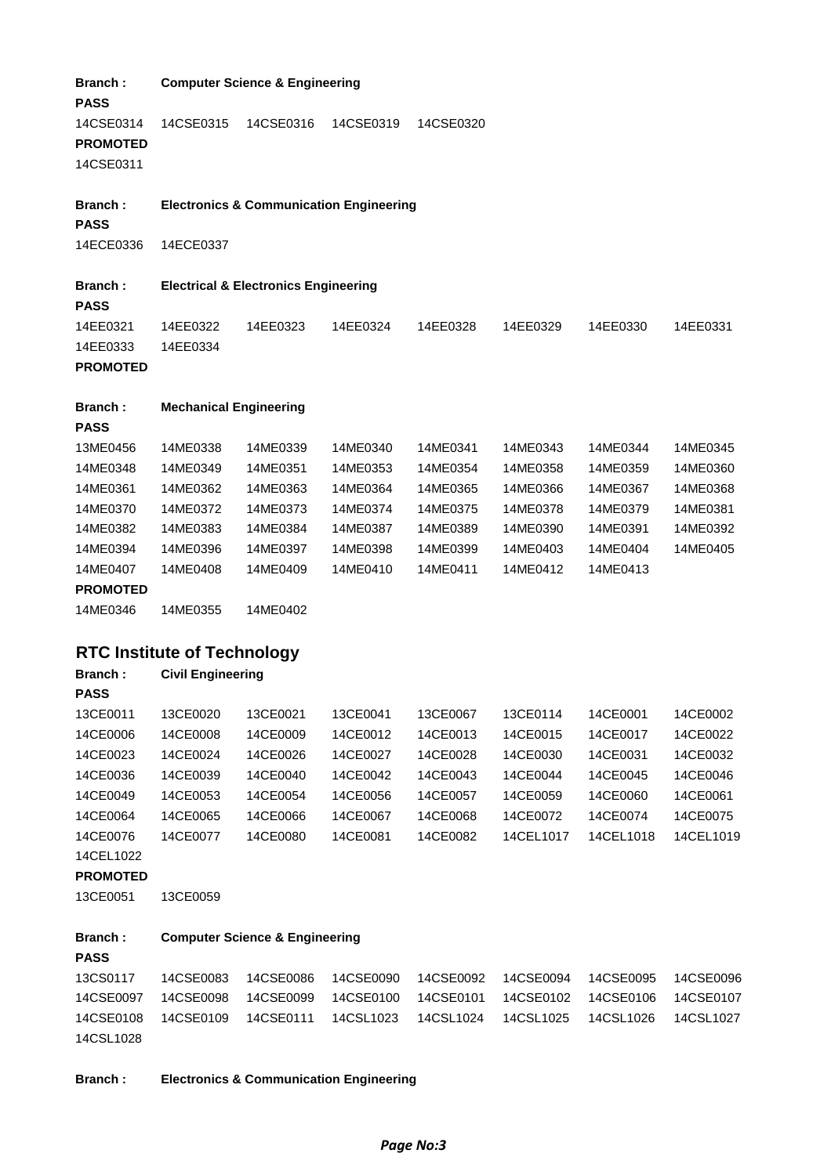| Branch:<br><b>PASS</b>                    |                                    | <b>Computer Science &amp; Engineering</b>       |                                                    |                      |                       |                       |                       |
|-------------------------------------------|------------------------------------|-------------------------------------------------|----------------------------------------------------|----------------------|-----------------------|-----------------------|-----------------------|
| 14CSE0314<br><b>PROMOTED</b><br>14CSE0311 | 14CSE0315                          | 14CSE0316                                       | 14CSE0319                                          | 14CSE0320            |                       |                       |                       |
| Branch:<br><b>PASS</b>                    |                                    |                                                 | <b>Electronics &amp; Communication Engineering</b> |                      |                       |                       |                       |
| 14ECE0336                                 | 14ECE0337                          |                                                 |                                                    |                      |                       |                       |                       |
| Branch:<br><b>PASS</b>                    |                                    | <b>Electrical &amp; Electronics Engineering</b> |                                                    |                      |                       |                       |                       |
| 14EE0321<br>14EE0333<br><b>PROMOTED</b>   | 14EE0322<br>14EE0334               | 14EE0323                                        | 14EE0324                                           | 14EE0328             | 14EE0329              | 14EE0330              | 14EE0331              |
| <b>Branch:</b>                            | <b>Mechanical Engineering</b>      |                                                 |                                                    |                      |                       |                       |                       |
| <b>PASS</b>                               |                                    |                                                 |                                                    |                      |                       |                       |                       |
| 13ME0456                                  | 14ME0338                           | 14ME0339                                        | 14ME0340                                           | 14ME0341             | 14ME0343              | 14ME0344              | 14ME0345              |
| 14ME0348                                  | 14ME0349                           | 14ME0351                                        | 14ME0353                                           | 14ME0354             | 14ME0358              | 14ME0359              | 14ME0360              |
| 14ME0361                                  | 14ME0362                           | 14ME0363                                        | 14ME0364                                           | 14ME0365             | 14ME0366              | 14ME0367              | 14ME0368              |
| 14ME0370<br>14ME0382                      | 14ME0372<br>14ME0383               | 14ME0373<br>14ME0384                            | 14ME0374<br>14ME0387                               | 14ME0375<br>14ME0389 | 14ME0378<br>14ME0390  | 14ME0379<br>14ME0391  | 14ME0381<br>14ME0392  |
| 14ME0394                                  | 14ME0396                           | 14ME0397                                        | 14ME0398                                           | 14ME0399             | 14ME0403              | 14ME0404              | 14ME0405              |
| 14ME0407                                  | 14ME0408                           | 14ME0409                                        | 14ME0410                                           | 14ME0411             | 14ME0412              | 14ME0413              |                       |
| <b>PROMOTED</b>                           |                                    |                                                 |                                                    |                      |                       |                       |                       |
| 14ME0346                                  | 14ME0355                           | 14ME0402                                        |                                                    |                      |                       |                       |                       |
|                                           | <b>RTC Institute of Technology</b> |                                                 |                                                    |                      |                       |                       |                       |
| Branch:                                   | <b>Civil Engineering</b>           |                                                 |                                                    |                      |                       |                       |                       |
| <b>PASS</b>                               |                                    |                                                 |                                                    |                      |                       |                       |                       |
| 13CE0011                                  | 13CE0020                           | 13CE0021                                        | 13CE0041                                           | 13CE0067             | 13CE0114              | 14CE0001              | 14CE0002              |
| 14CE0006                                  | 14CE0008                           | 14CE0009                                        | 14CE0012                                           | 14CE0013             | 14CE0015              | 14CE0017              | 14CE0022              |
| 14CE0023                                  | 14CE0024                           | 14CE0026                                        | 14CE0027                                           | 14CE0028             | 14CE0030              | 14CE0031              | 14CE0032              |
| 14CE0036                                  | 14CE0039<br>14CE0053               | 14CE0040                                        | 14CE0042                                           | 14CE0043             | 14CE0044              | 14CE0045<br>14CE0060  | 14CE0046<br>14CE0061  |
| 14CE0049<br>14CE0064                      | 14CE0065                           | 14CE0054                                        | 14CE0056                                           | 14CE0057             | 14CE0059              |                       |                       |
| 14CE0076                                  | 14CE0077                           | 14CE0066<br>14CE0080                            | 14CE0067<br>14CE0081                               | 14CE0068<br>14CE0082 | 14CE0072<br>14CEL1017 | 14CE0074<br>14CEL1018 | 14CE0075<br>14CEL1019 |
| 14CEL1022                                 |                                    |                                                 |                                                    |                      |                       |                       |                       |
| <b>PROMOTED</b>                           |                                    |                                                 |                                                    |                      |                       |                       |                       |
| 13CE0051                                  | 13CE0059                           |                                                 |                                                    |                      |                       |                       |                       |
| Branch:<br><b>PASS</b>                    |                                    | <b>Computer Science &amp; Engineering</b>       |                                                    |                      |                       |                       |                       |
| 13CS0117                                  | 14CSE0083                          | 14CSE0086                                       | 14CSE0090                                          | 14CSE0092            | 14CSE0094             | 14CSE0095             | 14CSE0096             |
| 14CSE0097                                 | 14CSE0098                          | 14CSE0099                                       | 14CSE0100                                          | 14CSE0101            | 14CSE0102             | 14CSE0106             | 14CSE0107             |
| 14CSE0108<br>14CSL1028                    | 14CSE0109                          | 14CSE0111                                       | 14CSL1023                                          | 14CSL1024            | 14CSL1025             | 14CSL1026             | 14CSL1027             |
| <b>Branch:</b>                            |                                    |                                                 | <b>Electronics &amp; Communication Engineering</b> |                      |                       |                       |                       |